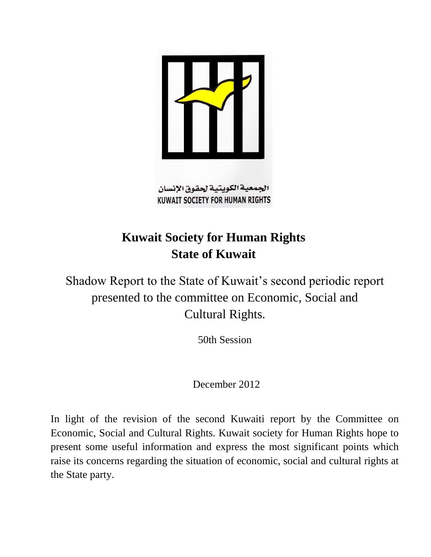

**KUWAIT SOCIETY FOR HUMAN RIGHTS** 

# **Kuwait Society for Human Rights State of Kuwait**

Shadow Report to the State of Kuwait's second periodic report presented to the committee on Economic, Social and Cultural Rights.

50th Session

December 2012

In light of the revision of the second Kuwaiti report by the Committee on Economic, Social and Cultural Rights. Kuwait society for Human Rights hope to present some useful information and express the most significant points which raise its concerns regarding the situation of economic, social and cultural rights at the State party.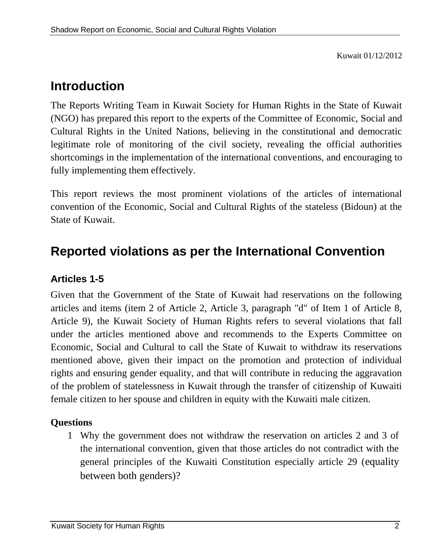Kuwait 01/12/2012

## **Introduction**

The Reports Writing Team in Kuwait Society for Human Rights in the State of Kuwait (NGO) has prepared this report to the experts of the Committee of Economic, Social and Cultural Rights in the United Nations, believing in the constitutional and democratic legitimate role of monitoring of the civil society, revealing the official authorities shortcomings in the implementation of the international conventions, and encouraging to fully implementing them effectively.

This report reviews the most prominent violations of the articles of international convention of the Economic, Social and Cultural Rights of the stateless (Bidoun) at the State of Kuwait.

## **Reported violations as per the International Convention**

### **Articles 1-5**

Given that the Government of the State of Kuwait had reservations on the following articles and items (item 2 of Article 2, Article 3, paragraph "d" of Item 1 of Article 8, Article 9), the Kuwait Society of Human Rights refers to several violations that fall under the articles mentioned above and recommends to the Experts Committee on Economic, Social and Cultural to call the State of Kuwait to withdraw its reservations mentioned above, given their impact on the promotion and protection of individual rights and ensuring gender equality, and that will contribute in reducing the aggravation of the problem of statelessness in Kuwait through the transfer of citizenship of Kuwaiti female citizen to her spouse and children in equity with the Kuwaiti male citizen.

#### **Questions**

1 Why the government does not withdraw the reservation on articles 2 and 3 of the international convention, given that those articles do not contradict with the general principles of the Kuwaiti Constitution especially article 29 (equality between both genders)?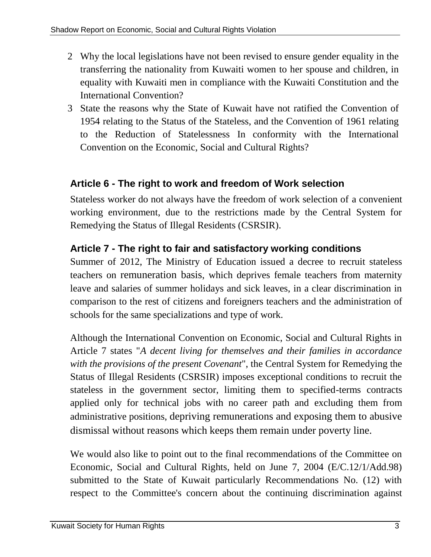- 2 Why the local legislations have not been revised to ensure gender equality in the transferring the nationality from Kuwaiti women to her spouse and children, in equality with Kuwaiti men in compliance with the Kuwaiti Constitution and the International Convention?
- 3 State the reasons why the State of Kuwait have not ratified the Convention of 1954 relating to the Status of the Stateless, and the Convention of 1961 relating to the Reduction of Statelessness In conformity with the International Convention on the Economic, Social and Cultural Rights?

### **Article 6 - The right to work and freedom of Work selection**

Stateless worker do not always have the freedom of work selection of a convenient working environment, due to the restrictions made by the Central System for Remedying the Status of Illegal Residents (CSRSIR).

## **Article 7 - The right to fair and satisfactory working conditions**

Summer of 2012, The Ministry of Education issued a decree to recruit stateless teachers on remuneration basis, which deprives female teachers from maternity leave and salaries of summer holidays and sick leaves, in a clear discrimination in comparison to the rest of citizens and foreigners teachers and the administration of schools for the same specializations and type of work.

Although the International Convention on Economic, Social and Cultural Rights in Article 7 states "*A decent living for themselves and their families in accordance with the provisions of the present Covenant*", the Central System for Remedying the Status of Illegal Residents (CSRSIR) imposes exceptional conditions to recruit the stateless in the government sector, limiting them to specified-terms contracts applied only for technical jobs with no career path and excluding them from administrative positions, depriving remunerations and exposing them to abusive dismissal without reasons which keeps them remain under poverty line.

We would also like to point out to the final recommendations of the Committee on Economic, Social and Cultural Rights, held on June 7, 2004 (E/C.12/1/Add.98) submitted to the State of Kuwait particularly Recommendations No. (12) with respect to the Committee's concern about the continuing discrimination against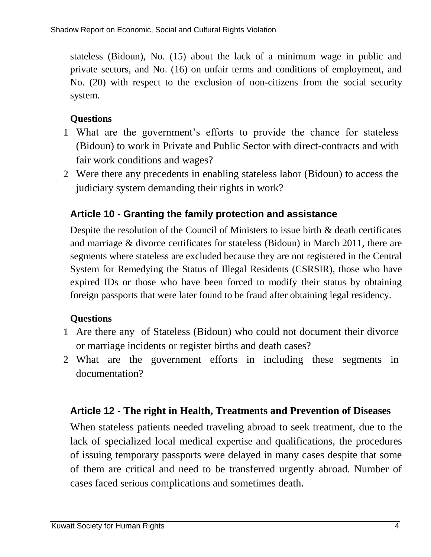stateless (Bidoun), No. (15) about the lack of a minimum wage in public and private sectors, and No. (16) on unfair terms and conditions of employment, and No. (20) with respect to the exclusion of non-citizens from the social security system.

#### **Questions**

- 1 What are the government's efforts to provide the chance for stateless (Bidoun) to work in Private and Public Sector with direct-contracts and with fair work conditions and wages?
- 2 Were there any precedents in enabling stateless labor (Bidoun) to access the judiciary system demanding their rights in work?

## **Article 10 - Granting the family protection and assistance**

Despite the resolution of the Council of Ministers to issue birth & death certificates and marriage & divorce certificates for stateless (Bidoun) in March 2011, there are segments where stateless are excluded because they are not registered in the Central System for Remedying the Status of Illegal Residents (CSRSIR), those who have expired IDs or those who have been forced to modify their status by obtaining foreign passports that were later found to be fraud after obtaining legal residency.

### **Questions**

- 1 Are there any of Stateless (Bidoun) who could not document their divorce or marriage incidents or register births and death cases?
- 2 What are the government efforts in including these segments in documentation?

### **Article 12 - The right in Health, Treatments and Prevention of Diseases**

When stateless patients needed traveling abroad to seek treatment, due to the lack of specialized local medical expertise and qualifications, the procedures of issuing temporary passports were delayed in many cases despite that some of them are critical and need to be transferred urgently abroad. Number of cases faced serious complications and sometimes death.